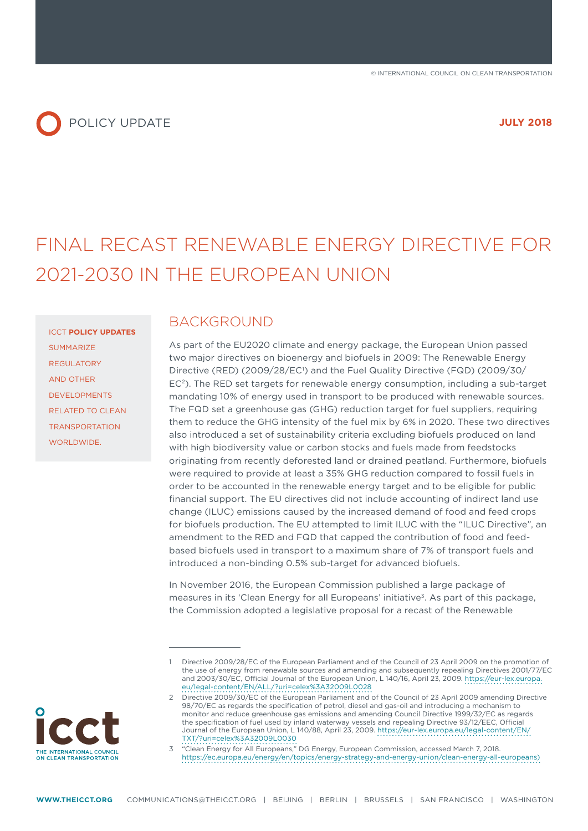# POLICY UPDATE *JULY 2018*

# FINAL RECAST RENEWABLE ENERGY DIRECTIVE FOR 2021-2030 IN THE EUROPEAN UNION

ICCT **POLICY UPDATES** SUMMARIZE REGULATORY AND OTHER DEVELOPMENTS RELATED TO CLEAN TRANSPORTATION WORLDWIDE.

#### BACKGROUND

As part of the EU2020 climate and energy package, the European Union passed two major directives on bioenergy and biofuels in 2009: The Renewable Energy Directive (RED) (2009/28/EC<sup>1</sup>) and the Fuel Quality Directive (FQD) (2009/30/ EC2). The RED set targets for renewable energy consumption, including a sub-target mandating 10% of energy used in transport to be produced with renewable sources. The FQD set a greenhouse gas (GHG) reduction target for fuel suppliers, requiring them to reduce the GHG intensity of the fuel mix by 6% in 2020. These two directives also introduced a set of sustainability criteria excluding biofuels produced on land with high biodiversity value or carbon stocks and fuels made from feedstocks originating from recently deforested land or drained peatland. Furthermore, biofuels were required to provide at least a 35% GHG reduction compared to fossil fuels in order to be accounted in the renewable energy target and to be eligible for public financial support. The EU directives did not include accounting of indirect land use change (ILUC) emissions caused by the increased demand of food and feed crops for biofuels production. The EU attempted to limit ILUC with the "ILUC Directive", an amendment to the RED and FQD that capped the contribution of food and feedbased biofuels used in transport to a maximum share of 7% of transport fuels and introduced a non-binding 0.5% sub-target for advanced biofuels.

In November 2016, the European Commission published a large package of measures in its 'Clean Energy for all Europeans' initiative<sup>3</sup>. As part of this package, the Commission adopted a legislative proposal for a recast of the Renewable

3 "Clean Energy for All Europeans," DG Energy, European Commission, accessed March 7, 2018. [https://ec.europa.eu/energy/en/topics/energy-strategy-and-energy-union/clean-energy-all-europeans\)](https://ec.europa.eu/energy/en/topics/energy-strategy-and-energy-union/clean-energy-all-europeans)



Directive 2009/28/EC of the European Parliament and of the Council of 23 April 2009 on the promotion of the use of energy from renewable sources and amending and subsequently repealing Directives 2001/77/EC and 2003/30/EC, Official Journal of the European Union, L 140/16, April 23, 2009. [https://eur-lex.europa.](https://eur-lex.europa.eu/legal-content/EN/ALL/?uri=celex%3A32009L0028) [eu/legal-content/EN/ALL/?uri=celex%3A32009L0028](https://eur-lex.europa.eu/legal-content/EN/ALL/?uri=celex%3A32009L0028)

<sup>2</sup> Directive 2009/30/EC of the European Parliament and of the Council of 23 April 2009 amending Directive 98/70/EC as regards the specification of petrol, diesel and gas-oil and introducing a mechanism to monitor and reduce greenhouse gas emissions and amending Council Directive 1999/32/EC as regards the specification of fuel used by inland waterway vessels and repealing Directive 93/12/EEC, Official Journal of the European Union, L 140/88, April 23, 2009. [https://eur-lex.europa.eu/legal-content/EN/](https://eur-lex.europa.eu/legal-content/EN/TXT/?uri=celex%3A32009L0030) [TXT/?uri=celex%3A32009L0030](https://eur-lex.europa.eu/legal-content/EN/TXT/?uri=celex%3A32009L0030)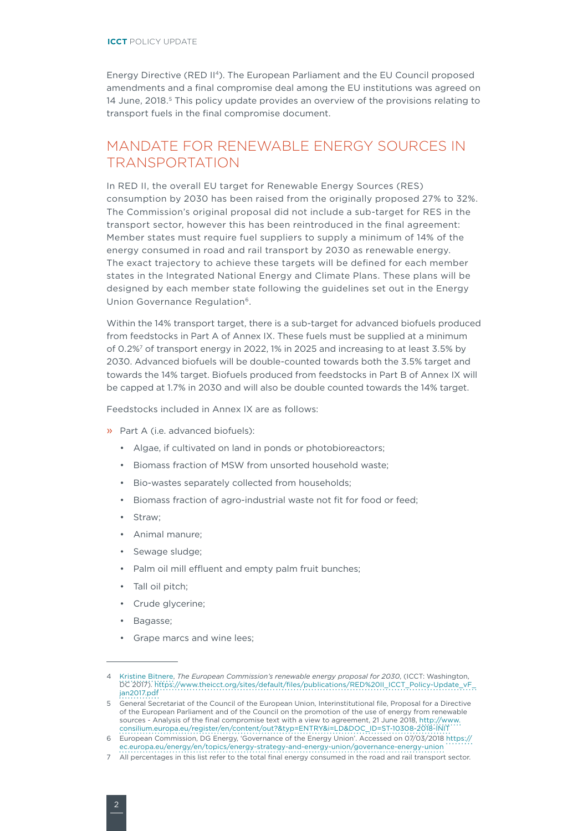Energy Directive (RED II4). The European Parliament and the EU Council proposed amendments and a final compromise deal among the EU institutions was agreed on 14 June, 2018.<sup>5</sup> This policy update provides an overview of the provisions relating to transport fuels in the final compromise document.

### MANDATE FOR RENEWABLE ENERGY SOURCES IN TRANSPORTATION

In RED II, the overall EU target for Renewable Energy Sources (RES) consumption by 2030 has been raised from the originally proposed 27% to 32%. The Commission's original proposal did not include a sub-target for RES in the transport sector, however this has been reintroduced in the final agreement: Member states must require fuel suppliers to supply a minimum of 14% of the energy consumed in road and rail transport by 2030 as renewable energy. The exact trajectory to achieve these targets will be defined for each member states in the Integrated National Energy and Climate Plans. These plans will be designed by each member state following the guidelines set out in the Energy Union Governance Regulation<sup>6</sup>.

Within the 14% transport target, there is a sub-target for advanced biofuels produced from feedstocks in Part A of Annex IX. These fuels must be supplied at a minimum of 0.2%7 of transport energy in 2022, 1% in 2025 and increasing to at least 3.5% by 2030. Advanced biofuels will be double-counted towards both the 3.5% target and towards the 14% target. Biofuels produced from feedstocks in Part B of Annex IX will be capped at 1.7% in 2030 and will also be double counted towards the 14% target.

Feedstocks included in Annex IX are as follows:

- » Part A (i.e. advanced biofuels):
	- Algae, if cultivated on land in ponds or photobioreactors;
	- Biomass fraction of MSW from unsorted household waste;
	- Bio-wastes separately collected from households;
	- Biomass fraction of agro-industrial waste not fit for food or feed;
	- Straw;
	- Animal manure;
	- Sewage sludge;
	- Palm oil mill effluent and empty palm fruit bunches;
	- Tall oil pitch;
	- Crude glycerine;
	- Bagasse;
	- Grape marcs and wine lees;

<sup>4</sup> [Kristine Bitnere](mailto:k.bitnere@theicct.org), *The European Commission's renewable energy proposal for 2030*, (ICCT: Washington, DC 2017). [https://www.theicct.org/sites/default/files/publications/RED%20II\\_ICCT\\_Policy-Update\\_vF\\_](https://www.theicct.org/sites/default/files/publications/RED II_ICCT_Policy-Update_vF_jan2017.pdf) [jan2017.pdf](https://www.theicct.org/sites/default/files/publications/RED II_ICCT_Policy-Update_vF_jan2017.pdf)

<sup>5</sup> General Secretariat of the Council of the European Union, Interinstitutional file, Proposal for a Directive of the European Parliament and of the Council on the promotion of the use of energy from renewable sources - Analysis of the final compromise text with a view to agreement, 21 June 2018, [http://www.](http://www.consilium.europa.eu/register/en/content/out?&typ=ENTRY&i=LD&DOC_ID=ST-10308-2018-INIT) [consilium.europa.eu/register/en/content/out?&typ=ENTRY&i=LD&DOC\\_ID=ST-10308-2018-INIT](http://www.consilium.europa.eu/register/en/content/out?&typ=ENTRY&i=LD&DOC_ID=ST-10308-2018-INIT)

<sup>6</sup> European Commission, DG Energy, 'Governance of the Energy Union'. Accessed on 07/03/2018 [https://](https://ec.europa.eu/energy/en/topics/energy-strategy-and-energy-union/governance-energy-union) [ec.europa.eu/energy/en/topics/energy-strategy-and-energy-union/governance-energy-union](https://ec.europa.eu/energy/en/topics/energy-strategy-and-energy-union/governance-energy-union)

<sup>27</sup> All percentages in this list refer to the total final energy consumed in the road and rail transport sector.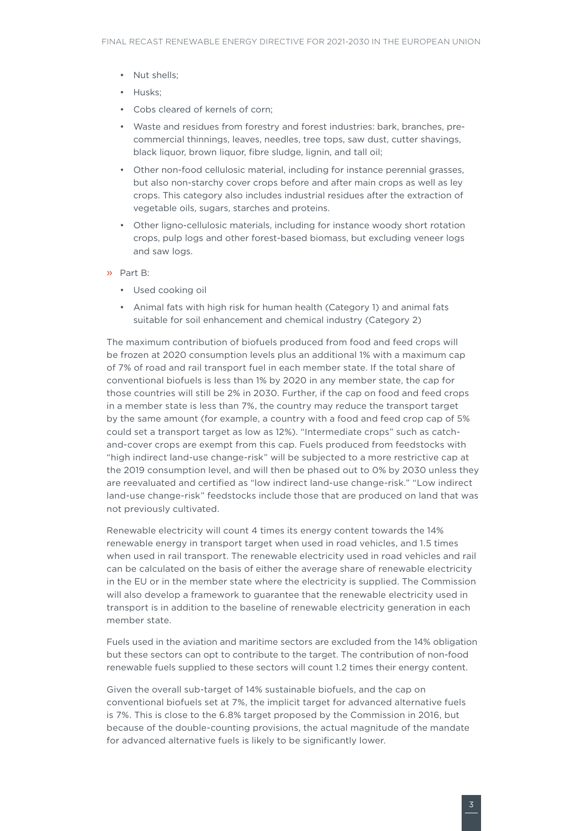- Nut shells;
- Husks;
- Cobs cleared of kernels of corn;
- Waste and residues from forestry and forest industries: bark, branches, precommercial thinnings, leaves, needles, tree tops, saw dust, cutter shavings, black liquor, brown liquor, fibre sludge, lignin, and tall oil;
- Other non-food cellulosic material, including for instance perennial grasses, but also non-starchy cover crops before and after main crops as well as ley crops. This category also includes industrial residues after the extraction of vegetable oils, sugars, starches and proteins.
- Other ligno-cellulosic materials, including for instance woody short rotation crops, pulp logs and other forest-based biomass, but excluding veneer logs and saw logs.
- » Part B:
	- Used cooking oil
	- Animal fats with high risk for human health (Category 1) and animal fats suitable for soil enhancement and chemical industry (Category 2)

The maximum contribution of biofuels produced from food and feed crops will be frozen at 2020 consumption levels plus an additional 1% with a maximum cap of 7% of road and rail transport fuel in each member state. If the total share of conventional biofuels is less than 1% by 2020 in any member state, the cap for those countries will still be 2% in 2030. Further, if the cap on food and feed crops in a member state is less than 7%, the country may reduce the transport target by the same amount (for example, a country with a food and feed crop cap of 5% could set a transport target as low as 12%). "Intermediate crops" such as catchand-cover crops are exempt from this cap. Fuels produced from feedstocks with "high indirect land-use change-risk" will be subjected to a more restrictive cap at the 2019 consumption level, and will then be phased out to 0% by 2030 unless they are reevaluated and certified as "low indirect land-use change-risk." "Low indirect land-use change-risk" feedstocks include those that are produced on land that was not previously cultivated.

Renewable electricity will count 4 times its energy content towards the 14% renewable energy in transport target when used in road vehicles, and 1.5 times when used in rail transport. The renewable electricity used in road vehicles and rail can be calculated on the basis of either the average share of renewable electricity in the EU or in the member state where the electricity is supplied. The Commission will also develop a framework to guarantee that the renewable electricity used in transport is in addition to the baseline of renewable electricity generation in each member state.

Fuels used in the aviation and maritime sectors are excluded from the 14% obligation but these sectors can opt to contribute to the target. The contribution of non-food renewable fuels supplied to these sectors will count 1.2 times their energy content.

Given the overall sub-target of 14% sustainable biofuels, and the cap on conventional biofuels set at 7%, the implicit target for advanced alternative fuels is 7%. This is close to the 6.8% target proposed by the Commission in 2016, but because of the double-counting provisions, the actual magnitude of the mandate for advanced alternative fuels is likely to be significantly lower.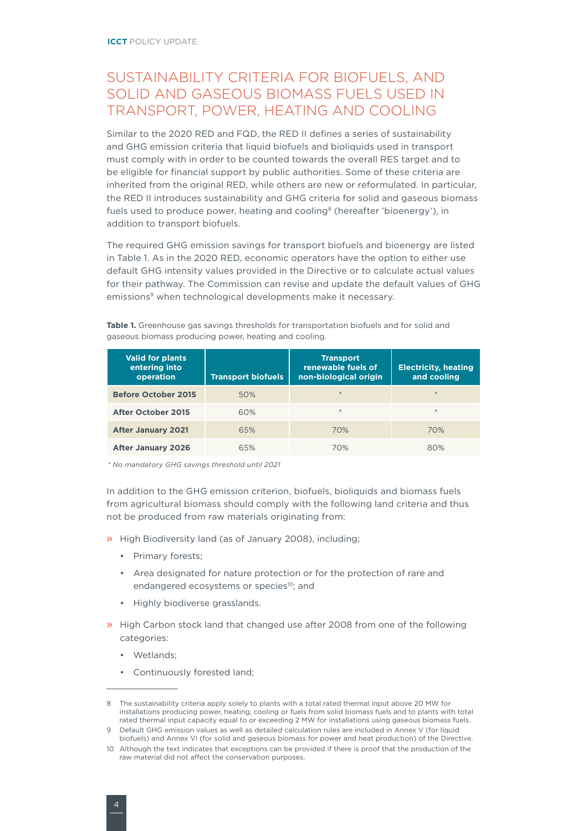## SUSTAINABILITY CRITERIA FOR BIOFUELS, AND SOLID AND GASEOUS BIOMASS FUELS USED IN TRANSPORT, POWER, HEATING AND COOLING

Similar to the 2020 RED and FQD, the RED II defines a series of sustainability and GHG emission criteria that liquid biofuels and bioliquids used in transport must comply with in order to be counted towards the overall RES target and to be eligible for financial support by public authorities. Some of these criteria are inherited from the original RED, while others are new or reformulated. In particular, the RED II introduces sustainability and GHG criteria for solid and gaseous biomass fuels used to produce power, heating and cooling<sup>8</sup> (hereafter 'bioenergy'), in addition to transport biofuels.

The required GHG emission savings for transport biofuels and bioenergy are listed in Table 1. As in the 2020 RED, economic operators have the option to either use default GHG intensity values provided in the Directive or to calculate actual values for their pathway. The Commission can revise and update the default values of GHG emissions<sup>9</sup> when technological developments make it necessary.

| <b>Valid for plants</b><br>entering into<br>operation | <b>Transport biofuels</b> | <b>Transport</b><br>renewable fuels of<br>non-biological origin | <b>Electricity, heating</b><br>and cooling |
|-------------------------------------------------------|---------------------------|-----------------------------------------------------------------|--------------------------------------------|
| <b>Before October 2015</b>                            | 50%                       | $\ast$                                                          | $*$                                        |
| <b>After October 2015</b>                             | 60%                       | $*$                                                             | $*$                                        |
| <b>After January 2021</b>                             | 65%                       | 70%                                                             | 70%                                        |
| <b>After January 2026</b>                             | 65%                       | 70%                                                             | 80%                                        |

**Table 1.** Greenhouse gas savings thresholds for transportation biofuels and for solid and gaseous biomass producing power, heating and cooling.

*\* No mandatory GHG savings threshold until 2021*

In addition to the GHG emission criterion, biofuels, bioliquids and biomass fuels from agricultural biomass should comply with the following land criteria and thus not be produced from raw materials originating from:

- » High Biodiversity land (as of January 2008), including;
	- Primary forests;
	- Area designated for nature protection or for the protection of rare and endangered ecosystems or species<sup>10</sup>; and
	- Highly biodiverse grasslands.
- » High Carbon stock land that changed use after 2008 from one of the following categories:
	- Wetlands;
	- Continuously forested land;

<sup>8</sup> The sustainability criteria apply solely to plants with a total rated thermal input above 20 MW for installations producing power, heating, cooling or fuels from solid biomass fuels and to plants with total rated thermal input capacity equal to or exceeding 2 MW for installations using gaseous biomass fuels.

<sup>9</sup> Default GHG emission values as well as detailed calculation rules are included in Annex V (for liquid biofuels) and Annex VI (for solid and gaseous biomass for power and heat production) of the Directive.

<sup>10</sup> Although the text indicates that exceptions can be provided if there is proof that the production of the raw material did not affect the conservation purposes.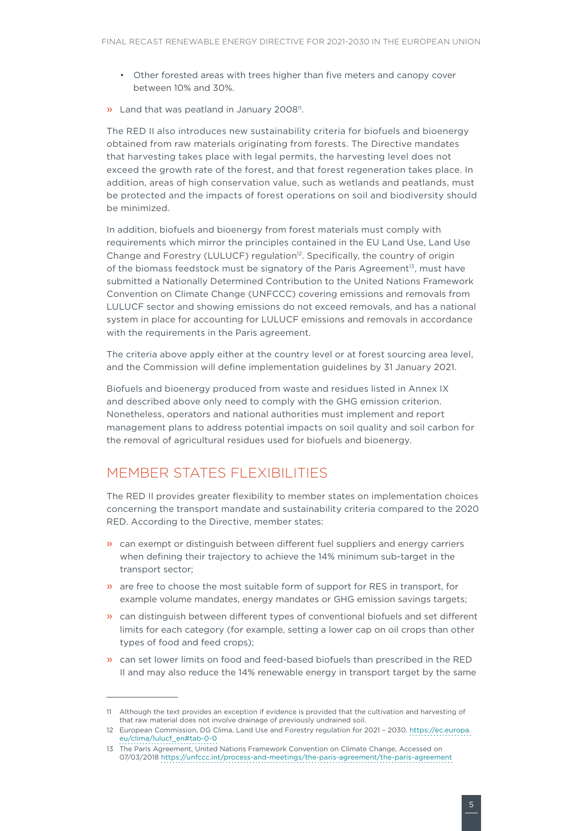- Other forested areas with trees higher than five meters and canopy cover between 10% and 30%.
- » Land that was peatland in January 2008<sup>11</sup>.

The RED II also introduces new sustainability criteria for biofuels and bioenergy obtained from raw materials originating from forests. The Directive mandates that harvesting takes place with legal permits, the harvesting level does not exceed the growth rate of the forest, and that forest regeneration takes place. In addition, areas of high conservation value, such as wetlands and peatlands, must be protected and the impacts of forest operations on soil and biodiversity should be minimized.

In addition, biofuels and bioenergy from forest materials must comply with requirements which mirror the principles contained in the EU Land Use, Land Use Change and Forestry (LULUCF) regulation12. Specifically, the country of origin of the biomass feedstock must be signatory of the Paris Agreement $13$ , must have submitted a Nationally Determined Contribution to the United Nations Framework Convention on Climate Change (UNFCCC) covering emissions and removals from LULUCF sector and showing emissions do not exceed removals, and has a national system in place for accounting for LULUCF emissions and removals in accordance with the requirements in the Paris agreement.

The criteria above apply either at the country level or at forest sourcing area level, and the Commission will define implementation guidelines by 31 January 2021.

Biofuels and bioenergy produced from waste and residues listed in Annex IX and described above only need to comply with the GHG emission criterion. Nonetheless, operators and national authorities must implement and report management plans to address potential impacts on soil quality and soil carbon for the removal of agricultural residues used for biofuels and bioenergy.

#### MEMBER STATES FLEXIBILITIES

The RED II provides greater flexibility to member states on implementation choices concerning the transport mandate and sustainability criteria compared to the 2020 RED. According to the Directive, member states:

- » can exempt or distinguish between different fuel suppliers and energy carriers when defining their trajectory to achieve the 14% minimum sub-target in the transport sector;
- » are free to choose the most suitable form of support for RES in transport, for example volume mandates, energy mandates or GHG emission savings targets;
- » can distinguish between different types of conventional biofuels and set different limits for each category (for example, setting a lower cap on oil crops than other types of food and feed crops);
- » can set lower limits on food and feed-based biofuels than prescribed in the RED II and may also reduce the 14% renewable energy in transport target by the same

<sup>11</sup> Although the text provides an exception if evidence is provided that the cultivation and harvesting of that raw material does not involve drainage of previously undrained soil.

<sup>12</sup> European Commission, DG Clima, Land Use and Forestry regulation for 2021 – 2030. [https://ec.europa.](https://ec.europa.eu/clima/lulucf_en#tab-0-0) [eu/clima/lulucf\\_en#tab-0-0](https://ec.europa.eu/clima/lulucf_en#tab-0-0)

<sup>13</sup> The Paris Agreement, United Nations Framework Convention on Climate Change, Accessed on 07/03/2018 https://unfccc.int/process-and-meetings/the-paris-agreement/the-paris-agreement